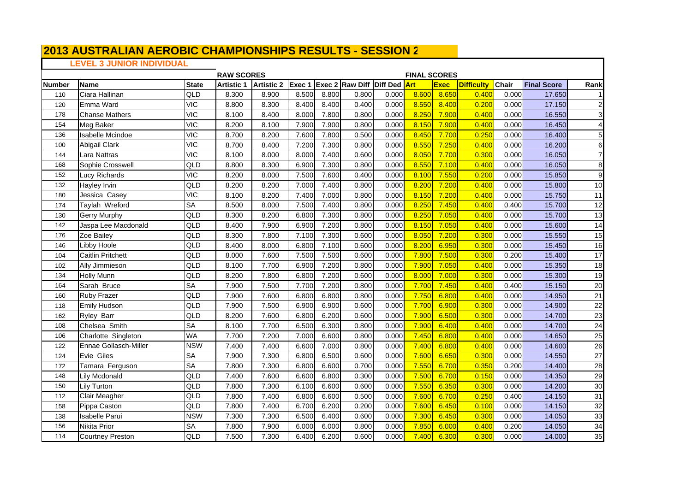## **LEVEL 3 JUNIOR INDIVIDUAL**

|               |                          |                        | <b>RAW SCORES</b> |                   |       |       |                        |              | <b>FINAL SCORES</b> |             |                   |       |                    |                 |
|---------------|--------------------------|------------------------|-------------------|-------------------|-------|-------|------------------------|--------------|---------------------|-------------|-------------------|-------|--------------------|-----------------|
| <b>Number</b> | Name                     | <b>State</b>           | <b>Artistic 1</b> | <b>Artistic 2</b> |       |       | Exec 1 Exec 2 Raw Diff | Diff Ded Art |                     | <b>Exec</b> | <b>Difficulty</b> | Chair | <b>Final Score</b> | Rank            |
| 110           | Ciara Hallinan           | QLD                    | 8.300             | 8.900             | 8.500 | 8.800 | 0.800                  | 0.000        | 8.600               | 8.650       | 0.400             | 0.000 | 17.650             |                 |
| 120           | Emma Ward                | $\overline{VC}$        | 8.800             | 8.300             | 8.400 | 8.400 | 0.400                  | 0.000        | 8.550               | 8.400       | 0.200             | 0.000 | 17.150             | $\overline{2}$  |
| 178           | <b>Chanse Mathers</b>    | <b>VIC</b>             | 8.100             | 8.400             | 8.000 | 7.800 | 0.800                  | 0.000        | 8.250               | 7.900       | 0.400             | 0.000 | 16.550             | 3               |
| 154           | Meg Baker                | <b>VIC</b>             | 8.200             | 8.100             | 7.900 | 7.900 | 0.800                  | 0.000        | 8.150               | 7.900       | 0.400             | 0.000 | 16.450             | $\overline{A}$  |
| 136           | <b>Isabelle Mcindoe</b>  | $\overline{VC}$        | 8.700             | 8.200             | 7.600 | 7.800 | 0.500                  | 0.000        | 8.450               | 7.700       | 0.250             | 0.000 | 16.400             | 5               |
| 100           | Abigail Clark            | <b>VIC</b>             | 8.700             | 8.400             | 7.200 | 7.300 | 0.800                  | 0.000        | 8.550               | 7.250       | 0.400             | 0.000 | 16.200             | $6\phantom{1}6$ |
| 144           | Lara Nattras             | $\overline{V}$         | 8.100             | 8.000             | 8.000 | 7.400 | 0.600                  | 0.000        | 8.050               | 7.700       | 0.300             | 0.000 | 16.050             | $\overline{7}$  |
| 168           | Sophie Crosswell         | QLD                    | 8.800             | 8.300             | 6.900 | 7.300 | 0.800                  | 0.000        | 8.550               | 7.100       | 0.400             | 0.000 | 16.050             | 8               |
| 152           | <b>Lucy Richards</b>     | <b>VIC</b>             | 8.200             | 8.000             | 7.500 | 7.600 | 0.400                  | 0.000        | 8.100               | 7.550       | 0.200             | 0.000 | 15.850             | g               |
| 132           | <b>Hayley Irvin</b>      | QLD                    | 8.200             | 8.200             | 7.000 | 7.400 | 0.800                  | 0.000        | 8.200               | 7.200       | 0.400             | 0.000 | 15.800             | 10              |
| 180           | Jessica Casey            | $\overline{VC}$        | 8.100             | 8.200             | 7.400 | 7.000 | 0.800                  | 0.000        | 8.150               | 7.200       | 0.400             | 0.000 | 15.750             | 11              |
| 174           | Taylah Wreford           | <b>SA</b>              | 8.500             | 8.000             | 7.500 | 7.400 | 0.800                  | 0.000        | 8.250               | 7.450       | 0.400             | 0.400 | 15.700             | $\overline{12}$ |
| 130           | <b>Gerry Murphy</b>      | QLD                    | 8.300             | 8.200             | 6.800 | 7.300 | 0.800                  | 0.000        | 8.250               | 7.050       | 0.400             | 0.000 | 15.700             | 13              |
| 142           | Jaspa Lee Macdonald      | QLD                    | 8.400             | 7.900             | 6.900 | 7.200 | 0.800                  | 0.000        | 8.150               | 7.050       | 0.400             | 0.000 | 15.600             | 14              |
| 176           | Zoe Bailey               | QLD                    | 8.300             | 7.800             | 7.100 | 7.300 | 0.600                  | 0.000        | 8.050               | 7.200       | 0.300             | 0.000 | 15.550             | 15              |
| 146           | Libby Hoole              | QLD                    | 8.400             | 8.000             | 6.800 | 7.100 | 0.600                  | 0.000        | 8.200               | 6.950       | 0.300             | 0.000 | 15.450             | 16              |
| 104           | <b>Caitlin Pritchett</b> | QLD                    | 8.000             | 7.600             | 7.500 | 7.500 | 0.600                  | 0.000        | 7.800               | 7.500       | 0.300             | 0.200 | 15.400             | $\overline{17}$ |
| 102           | Ally Jimmieson           | QLD                    | 8.100             | 7.700             | 6.900 | 7.200 | 0.800                  | 0.000        | 7.900               | 7.050       | 0.400             | 0.000 | 15.350             | 18              |
| 134           | <b>Holly Munn</b>        | QLD                    | 8.200             | 7.800             | 6.800 | 7.200 | 0.600                  | 0.000        | 8.000               | 7.000       | 0.300             | 0.000 | 15.300             | 19              |
| 164           | Sarah Bruce              | <b>SA</b>              | 7.900             | 7.500             | 7.700 | 7.200 | 0.800                  | 0.000        | 7.700               | 7.450       | 0.400             | 0.400 | 15.150             | 20              |
| 160           | Ruby Frazer              | QLD                    | 7.900             | 7.600             | 6.800 | 6.800 | 0.800                  | 0.000        | 7.750               | 6.800       | 0.400             | 0.000 | 14.950             | 21              |
| 118           | <b>Emily Hudson</b>      | QLD                    | 7.900             | 7.500             | 6.900 | 6.900 | 0.600                  | 0.000        | 7.700               | 6.900       | 0.300             | 0.000 | 14.900             | $\overline{22}$ |
| 162           | Ryley Barr               | QLD                    | 8.200             | 7.600             | 6.800 | 6.200 | 0.600                  | 0.000        | 7.900               | 6.500       | 0.300             | 0.000 | 14.700             | $\overline{23}$ |
| 108           | Chelsea Smith            | <b>SA</b>              | 8.100             | 7.700             | 6.500 | 6.300 | 0.800                  | 0.000        | 7.900               | 6.400       | 0.400             | 0.000 | 14.700             | 24              |
| 106           | Charlotte Singleton      | <b>WA</b>              | 7.700             | 7.200             | 7.000 | 6.600 | 0.800                  | 0.000        | 7.450               | 6.800       | 0.400             | 0.000 | 14.650             | 25              |
| 122           | Ennae Gollasch-Miller    | <b>NSW</b>             | 7.400             | 7.400             | 6.600 | 7.000 | 0.800                  | 0.000        | 7.400               | 6.800       | 0.400             | 0.000 | 14.600             | 26              |
| 124           | Evie Giles               | <b>SA</b>              | 7.900             | 7.300             | 6.800 | 6.500 | 0.600                  | 0.000        | 7.600               | 6.650       | 0.300             | 0.000 | 14.550             | $\overline{27}$ |
| 172           | Tamara Ferguson          | $\overline{\text{SA}}$ | 7.800             | 7.300             | 6.800 | 6.600 | 0.700                  | 0.000        | 7.550               | 6.700       | 0.350             | 0.200 | 14.400             | 28              |
| 148           | <b>Lily Mcdonald</b>     | QLD                    | 7.400             | 7.600             | 6.600 | 6.800 | 0.300                  | 0.000        | 7.500               | 6.700       | 0.150             | 0.000 | 14.350             | 29              |
| 150           | <b>Lily Turton</b>       | QLD                    | 7.800             | 7.300             | 6.100 | 6.600 | 0.600                  | 0.000        | 7.550               | 6.350       | 0.300             | 0.000 | 14.200             | 30              |
| 112           | Clair Meagher            | QLD                    | 7.800             | 7.400             | 6.800 | 6.600 | 0.500                  | 0.000        | 7.600               | 6.700       | 0.250             | 0.400 | 14.150             | 31              |
| 158           | Pippa Caston             | QLD                    | 7.800             | 7.400             | 6.700 | 6.200 | 0.200                  | 0.000        | 7.600               | 6.450       | 0.100             | 0.000 | 14.150             | 32              |
| 138           | Isabelle Parui           | <b>NSW</b>             | 7.300             | 7.300             | 6.500 | 6.400 | 0.600                  | 0.000        | 7.300               | 6.450       | 0.300             | 0.000 | 14.050             | 33              |
| 156           | <b>Nikita Prior</b>      | $\overline{\text{SA}}$ | 7.800             | 7.900             | 6.000 | 6.000 | 0.800                  | 0.000        | 7.850               | 6.000       | 0.400             | 0.200 | 14.050             | 34              |
| 114           | <b>Courtney Preston</b>  | QLD                    | 7.500             | 7.300             | 6.400 | 6.200 | 0.600                  | 0.000        | 7.400               | 6.300       | 0.300             | 0.000 | 14.000             | 35              |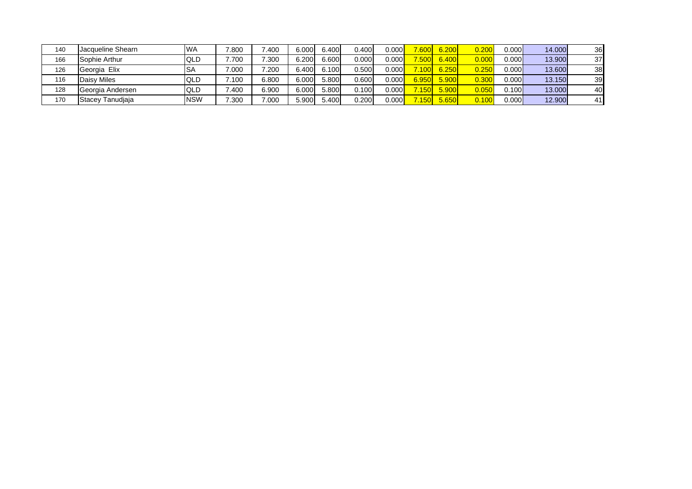| 140 | Jacqueline Shearn | <b>WA</b>  | 7.800 | .400  | 6.000 | 6.400 | 0.400 | 0.000 | 7.600 | 6.200 | 0.200 | 0.000 | 14.000 | 36 |
|-----|-------------------|------------|-------|-------|-------|-------|-------|-------|-------|-------|-------|-------|--------|----|
| 166 | Sophie Arthur     | <b>QLD</b> | 7.700 | 7.300 | 6.200 | 6.600 | 0.000 | 0.000 | 7,500 | 6.400 | 0.000 | 0.000 | 13.900 | 37 |
| 126 | Georgia Elix      | ISA        | 7.000 | 7.200 | 6.400 | 6.100 | 0.500 | 0.000 | .1001 | 6.250 | 0.250 | 0.000 | 13,600 | 38 |
| 116 | Daisy Miles       | <b>QLD</b> | .100  | 6.800 | 6.000 | 5.800 | 0.600 | 0.000 | 6.950 | 5.900 | 0.300 | 0.000 | 13.150 | 39 |
| 128 | Georgia Andersen  | <b>QLD</b> | 7.400 | 6.900 | 6.000 | 5.800 | 0.100 | 0.000 | 150   | 5.900 | 0.050 | 0.100 | 13,000 | 40 |
| 170 | Stacey Tanudiaja  | <b>NSW</b> | 7.300 | 000.  | 5.900 | 5.400 | 0.200 | 0.000 | .150l | 5.650 | 0.100 | 0.000 | 12.900 | 41 |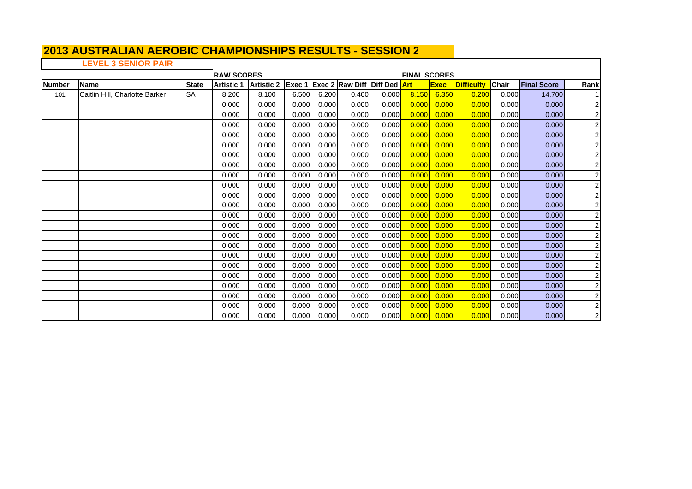# **LEVEL 3 SENIOR PAIR**

|                |                                |              | <b>RAW SCORES</b> |                   |        |       |                              |       | <b>FINAL SCORES</b> |             |                   |              |                    |                         |
|----------------|--------------------------------|--------------|-------------------|-------------------|--------|-------|------------------------------|-------|---------------------|-------------|-------------------|--------------|--------------------|-------------------------|
| <b>INumber</b> | <b>Name</b>                    | <b>State</b> | <b>Artistic 1</b> | <b>Artistic 2</b> | Exec 1 |       | Exec 2 Raw Diff Diff Ded Art |       |                     | <b>Exec</b> | <b>Difficulty</b> | <b>Chair</b> | <b>Final Score</b> | Rank                    |
| 101            | Caitlin Hill, Charlotte Barker | <b>SA</b>    | 8.200             | 8.100             | 6.500  | 6.200 | 0.400                        | 0.000 | 8.150               | 6.350       | 0.200             | 0.000        | 14.700             |                         |
|                |                                |              | 0.000             | 0.000             | 0.000  | 0.000 | 0.000                        | 0.000 | 0.000               | 0.000       | 0.000             | 0.000        | 0.000              | 2                       |
|                |                                |              | 0.000             | 0.000             | 0.000  | 0.000 | 0.000                        | 0.000 | 0.000               | 0.000       | 0.000             | 0.000        | 0.000              | $\overline{\mathbf{c}}$ |
|                |                                |              | 0.000             | 0.000             | 0.000  | 0.000 | 0.000                        | 0.000 | 0.000               | 0.000       | 0.000             | 0.000        | 0.000              | $\overline{\mathbf{c}}$ |
|                |                                |              | 0.000             | 0.000             | 0.000  | 0.000 | 0.000                        | 0.000 | 0.000               | 0.000       | 0.000             | 0.000        | 0.000              | $\overline{2}$          |
|                |                                |              | 0.000             | 0.000             | 0.000  | 0.000 | 0.000                        | 0.000 | 0.000               | 0.000       | 0.000             | 0.000        | 0.000              | $\overline{c}$          |
|                |                                |              | 0.000             | 0.000             | 0.000  | 0.000 | 0.000                        | 0.000 | 0.000               | 0.000       | 0.000             | 0.000        | 0.000              | $\overline{c}$          |
|                |                                |              | 0.000             | 0.000             | 0.000  | 0.000 | 0.000                        | 0.000 | 0.000               | 0.000       | 0.000             | 0.000        | 0.000              | $\overline{\mathbf{c}}$ |
|                |                                |              | 0.000             | 0.000             | 0.000  | 0.000 | 0.000                        | 0.000 | 0.000               | 0.000       | 0.000             | 0.000        | 0.000              | $\overline{\mathbf{c}}$ |
|                |                                |              | 0.000             | 0.000             | 0.000  | 0.000 | 0.000                        | 0.000 | 0.000               | 0.000       | 0.000             | 0.000        | 0.000              | $\overline{\mathbf{c}}$ |
|                |                                |              | 0.000             | 0.000             | 0.000  | 0.000 | 0.000                        | 0.000 | 0.000               | 0.000       | 0.000             | 0.000        | 0.000              | $\overline{c}$          |
|                |                                |              | 0.000             | 0.000             | 0.000  | 0.000 | 0.000                        | 0.000 | 0.000               | 0.000       | 0.000             | 0.000        | 0.000              | $\overline{c}$          |
|                |                                |              | 0.000             | 0.000             | 0.000  | 0.000 | 0.000                        | 0.000 | 0.000               | 0.000       | 0.000             | 0.000        | 0.000              | $\overline{\mathbf{c}}$ |
|                |                                |              | 0.000             | 0.000             | 0.000  | 0.000 | 0.000                        | 0.000 | 0.000               | 0.000       | 0.000             | 0.000        | 0.000              | $\overline{\mathbf{c}}$ |
|                |                                |              | 0.000             | 0.000             | 0.000  | 0.000 | 0.000                        | 0.000 | 0.000               | 0.000       | 0.000             | 0.000        | 0.000              | $\overline{c}$          |
|                |                                |              | 0.000             | 0.000             | 0.000  | 0.000 | 0.000                        | 0.000 | 0.000               | 0.000       | 0.000             | 0.000        | 0.000              | $\overline{\mathbf{c}}$ |
|                |                                |              | 0.000             | 0.000             | 0.000  | 0.000 | 0.000                        | 0.000 | 0.000               | 0.000       | 0.000             | 0.000        | 0.000              | $\overline{\mathbf{c}}$ |
|                |                                |              | 0.000             | 0.000             | 0.000  | 0.000 | 0.000                        | 0.000 | 0.000               | 0.000       | 0.000             | 0.000        | 0.000              | $\overline{\mathbf{c}}$ |
|                |                                |              | 0.000             | 0.000             | 0.000  | 0.000 | 0.000                        | 0.000 | 0.000               | 0.000       | 0.000             | 0.000        | 0.000              | $\overline{c}$          |
|                |                                |              | 0.000             | 0.000             | 0.000  | 0.000 | 0.000                        | 0.000 | 0.000               | 0.000       | 0.000             | 0.000        | 0.000              | $\overline{c}$          |
|                |                                |              | 0.000             | 0.000             | 0.000  | 0.000 | 0.000                        | 0.000 | 0.000               | 0.000       | 0.000             | 0.000        | 0.000              | $\overline{\mathbf{c}}$ |
|                |                                |              | 0.000             | 0.000             | 0.000  | 0.000 | 0.000                        | 0.000 | 0.000               | 0.000       | 0.000             | 0.000        | 0.000              | $\overline{\mathbf{c}}$ |
|                |                                |              | 0.000             | 0.000             | 0.000  | 0.000 | 0.000                        | 0.000 | 0.000               | 0.000       | 0.000             | 0.000        | 0.000              | $\overline{\mathbf{c}}$ |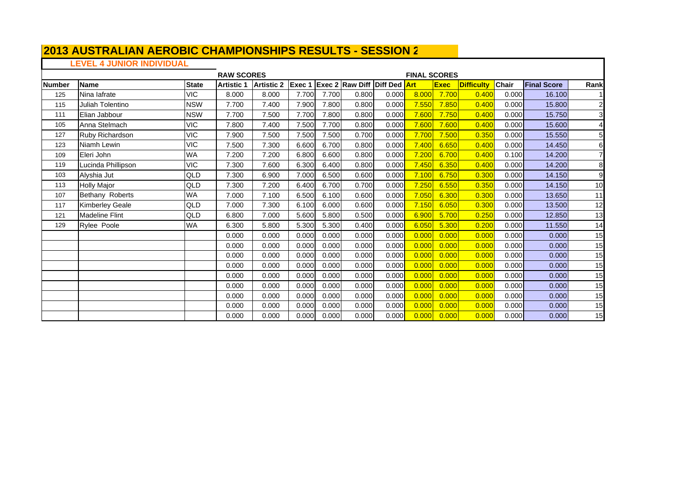# **LEVEL 4 JUNIOR INDIVIDUAL**

|               |                        |              | <b>RAW SCORES</b> |                   |                |       |                                     |       | <b>FINAL SCORES</b> |             |                   |       |                    |                |
|---------------|------------------------|--------------|-------------------|-------------------|----------------|-------|-------------------------------------|-------|---------------------|-------------|-------------------|-------|--------------------|----------------|
| <b>Number</b> | <b>Name</b>            | <b>State</b> | <b>Artistic 1</b> | <b>Artistic 2</b> | <b>IExec 1</b> |       | <b>Exec 2 Raw Diff Diff Ded Art</b> |       |                     | <b>Exec</b> | <b>Difficulty</b> | Chair | <b>Final Score</b> | Rank           |
| 125           | Nina lafrate           | <b>VIC</b>   | 8.000             | 8.000             | 7.700          | 7.700 | 0.800                               | 0.000 | 8.000               | 7.700       | 0.400             | 0.000 | 16.100             |                |
| 115           | Juliah Tolentino       | <b>NSW</b>   | 7.700             | 7.400             | 7.900          | 7.800 | 0.800                               | 0.000 | 7.550               | 7.850       | 0.400             | 0.000 | 15.800             | $\overline{c}$ |
| 111           | Elian Jabbour          | <b>NSW</b>   | 7.700             | 7.500             | 7.700          | 7.800 | 0.800                               | 0.000 | 7.600               | 7.750       | 0.400             | 0.000 | 15.750             | 3              |
| 105           | Anna Stelmach          | <b>VIC</b>   | 7.800             | 7.400             | 7.500          | 7.700 | 0.800                               | 0.000 | 7.600               | 7.600       | 0.400             | 0.000 | 15.600             |                |
| 127           | Ruby Richardson        | <b>VIC</b>   | 7.900             | 7.500             | 7.500          | 7.500 | 0.700                               | 0.000 | 7.700               | 7.500       | 0.350             | 0.000 | 15.550             | 5              |
| 123           | Niamh Lewin            | <b>VIC</b>   | 7.500             | 7.300             | 6.600          | 6.700 | 0.800                               | 0.000 | 7.400               | 6.650       | 0.400             | 0.000 | 14.450             | 6              |
| 109           | Eleri John             | <b>WA</b>    | 7.200             | 7.200             | 6.800          | 6.600 | 0.800                               | 0.000 | 7.200               | 6.700       | 0.400             | 0.100 | 14.200             |                |
| 119           | Lucinda Phillipson     | <b>VIC</b>   | 7.300             | 7.600             | 6.300          | 6.400 | 0.800                               | 0.000 | 7.450               | 6.350       | 0.400             | 0.000 | 14.200             | 8              |
| 103           | Alyshia Jut            | QLD          | 7.300             | 6.900             | 7.000          | 6.500 | 0.600                               | 0.000 | 7.100               | 6.750       | 0.300             | 0.000 | 14.150             | 9              |
| 113           | <b>Holly Major</b>     | QLD          | 7.300             | 7.200             | 6.400          | 6.700 | 0.700                               | 0.000 | 7.250               | 6.550       | 0.350             | 0.000 | 14.150             | 10             |
| 107           | Bethany Roberts        | WA           | 7.000             | 7.100             | 6.500          | 6.100 | 0.600                               | 0.000 | 7.050               | 6.300       | 0.300             | 0.000 | 13.650             | 11             |
| 117           | <b>Kimberley Geale</b> | QLD          | 7.000             | 7.300             | 6.100          | 6.000 | 0.600                               | 0.000 | 7.150               | 6.050       | 0.300             | 0.000 | 13.500             | 12             |
| 121           | <b>Madeline Flint</b>  | QLD          | 6.800             | 7.000             | 5.600          | 5.800 | 0.500                               | 0.000 | 6.900               | 5.700       | 0.250             | 0.000 | 12.850             | 13             |
| 129           | <b>Rylee Poole</b>     | <b>WA</b>    | 6.300             | 5.800             | 5.300          | 5.300 | 0.400                               | 0.000 | 6.050               | 5.300       | 0.200             | 0.000 | 11.550             | 14             |
|               |                        |              | 0.000             | 0.000             | 0.000          | 0.000 | 0.000                               | 0.000 | 0.000               | 0.000       | 0.000             | 0.000 | 0.000              | 15             |
|               |                        |              | 0.000             | 0.000             | 0.000          | 0.000 | 0.000                               | 0.000 | 0.000               | 0.000       | 0.000             | 0.000 | 0.000              | 15             |
|               |                        |              | 0.000             | 0.000             | 0.000          | 0.000 | 0.000                               | 0.000 | 0.000               | 0.000       | 0.000             | 0.000 | 0.000              | 15             |
|               |                        |              | 0.000             | 0.000             | 0.000          | 0.000 | 0.000                               | 0.000 | 0.000               | 0.000       | 0.000             | 0.000 | 0.000              | 15             |
|               |                        |              | 0.000             | 0.000             | 0.000          | 0.000 | 0.000                               | 0.000 | 0.000               | 0.000       | 0.000             | 0.000 | 0.000              | 15             |
|               |                        |              | 0.000             | 0.000             | 0.000          | 0.000 | 0.000                               | 0.000 | 0.000               | 0.000       | 0.000             | 0.000 | 0.000              | 15             |
|               |                        |              | 0.000             | 0.000             | 0.000          | 0.000 | 0.000                               | 0.000 | 0.000               | 0.000       | 0.000             | 0.000 | 0.000              | 15             |
|               |                        |              | 0.000             | 0.000             | 0.000          | 0.000 | 0.000                               | 0.000 | 0.000               | 0.000       | 0.000             | 0.000 | 0.000              | 15             |
|               |                        |              | 0.000             | 0.000             | 0.000          | 0.000 | 0.000                               | 0.000 | 0.000               | 0.000       | 0.000             | 0.000 | 0.000              | 15             |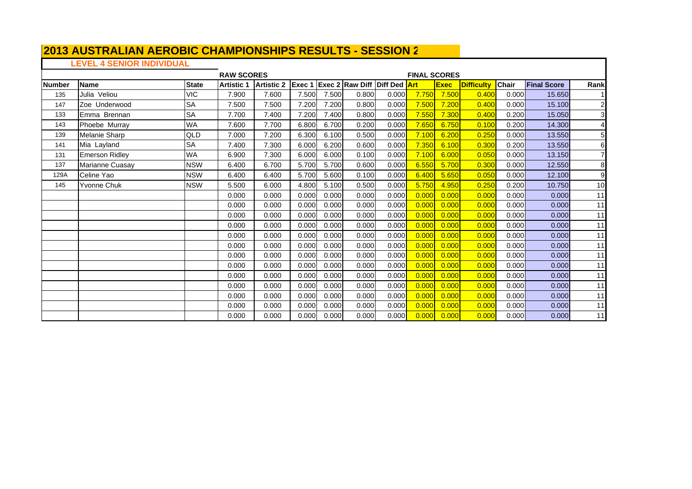# **LEVEL 4 SENIOR INDIVIDUAL**

|               |                       |              | <b>RAW SCORES</b> |                   |        |       |                                     |       | <b>FINAL SCORES</b> |             |                   |       |                    |                         |
|---------------|-----------------------|--------------|-------------------|-------------------|--------|-------|-------------------------------------|-------|---------------------|-------------|-------------------|-------|--------------------|-------------------------|
| <b>Number</b> | <b>Name</b>           | <b>State</b> | <b>Artistic 1</b> | <b>Artistic 2</b> | Exec 1 |       | <b>Exec 2 Raw Diff Diff Ded Art</b> |       |                     | <b>Exec</b> | <b>Difficulty</b> | Chair | <b>Final Score</b> | Rank                    |
| 135           | Julia Veliou          | <b>VIC</b>   | 7.900             | 7.600             | 7.500  | 7.500 | 0.800                               | 0.000 | 7.750               | 7.500       | 0.400             | 0.000 | 15.650             |                         |
| 147           | Zoe Underwood         | <b>SA</b>    | 7.500             | 7.500             | 7.200  | 7.200 | 0.800                               | 0.000 | 7.500               | 7.200       | 0.400             | 0.000 | 15.100             | $\overline{\mathbf{c}}$ |
| 133           | Emma Brennan          | <b>SA</b>    | 7.700             | 7.400             | 7.200  | 7.400 | 0.800                               | 0.000 | 7.550               | 7.300       | 0.400             | 0.200 | 15.050             | 3                       |
| 143           | Phoebe Murray         | <b>WA</b>    | 7.600             | 7.700             | 6.800  | 6.700 | 0.200                               | 0.000 | 7.650               | 6.750       | 0.100             | 0.200 | 14.300             | 4                       |
| 139           | Melanie Sharp         | QLD          | 7.000             | 7.200             | 6.300  | 6.100 | 0.500                               | 0.000 | 7.100               | 6.200       | 0.250             | 0.000 | 13.550             | 5 <sup>1</sup>          |
| 141           | Mia Layland           | <b>SA</b>    | 7.400             | 7.300             | 6.000  | 6.200 | 0.600                               | 0.000 | 7.350               | 6.100       | 0.300             | 0.200 | 13.550             | 6                       |
| 131           | <b>Emerson Ridlev</b> | <b>WA</b>    | 6.900             | 7.300             | 6.000  | 6.000 | 0.100                               | 0.000 | 7.100               | 6.000       | 0.050             | 0.000 | 13.150             | $\overline{7}$          |
| 137           | Marianne Cuasay       | <b>NSW</b>   | 6.400             | 6.700             | 5.700  | 5.700 | 0.600                               | 0.000 | 6.550               | 5.700       | 0.300             | 0.000 | 12.550             | 8                       |
| 129A          | Celine Yao            | <b>NSW</b>   | 6.400             | 6.400             | 5.700  | 5.600 | 0.100                               | 0.000 | 6.400               | 5.650       | 0.050             | 0.000 | 12.100             | 9                       |
| 145           | Yvonne Chuk           | <b>NSW</b>   | 5.500             | 6.000             | 4.800  | 5.100 | 0.500                               | 0.000 | 5.750               | 4.950       | 0.250             | 0.200 | 10.750             | 10                      |
|               |                       |              | 0.000             | 0.000             | 0.000  | 0.000 | 0.000                               | 0.000 | 0.000               | 0.000       | 0.000             | 0.000 | 0.000              | 11                      |
|               |                       |              | 0.000             | 0.000             | 0.000  | 0.000 | 0.000                               | 0.000 | 0.000               | 0.000       | 0.000             | 0.000 | 0.000              | 11                      |
|               |                       |              | 0.000             | 0.000             | 0.000  | 0.000 | 0.000                               | 0.000 | 0.000               | 0.000       | 0.000             | 0.000 | 0.000              | 11                      |
|               |                       |              | 0.000             | 0.000             | 0.000  | 0.000 | 0.000                               | 0.000 | 0.000               | 0.000       | 0.000             | 0.000 | 0.000              | 11                      |
|               |                       |              | 0.000             | 0.000             | 0.000  | 0.000 | 0.000                               | 0.000 | 0.000               | 0.000       | 0.000             | 0.000 | 0.000              | 11                      |
|               |                       |              | 0.000             | 0.000             | 0.000  | 0.000 | 0.000                               | 0.000 | 0.000               | 0.000       | 0.000             | 0.000 | 0.000              | 11                      |
|               |                       |              | 0.000             | 0.000             | 0.000  | 0.000 | 0.000                               | 0.000 | 0.000               | 0.000       | 0.000             | 0.000 | 0.000              | 11                      |
|               |                       |              | 0.000             | 0.000             | 0.000  | 0.000 | 0.000                               | 0.000 | 0.000               | 0.000       | 0.000             | 0.000 | 0.000              | 11                      |
|               |                       |              | 0.000             | 0.000             | 0.000  | 0.000 | 0.000                               | 0.000 | 0.000               | 0.000       | 0.000             | 0.000 | 0.000              | 11                      |
|               |                       |              | 0.000             | 0.000             | 0.000  | 0.000 | 0.000                               | 0.000 | 0.000               | 0.000       | 0.000             | 0.000 | 0.000              | 11                      |
|               |                       |              | 0.000             | 0.000             | 0.000  | 0.000 | 0.000                               | 0.000 | 0.000               | 0.000       | 0.000             | 0.000 | 0.000              | 11                      |
|               |                       |              | 0.000             | 0.000             | 0.000  | 0.000 | 0.000                               | 0.000 | 0.000               | 0.000       | 0.000             | 0.000 | 0.000              | 11                      |
|               |                       |              | 0.000             | 0.000             | 0.000  | 0.000 | 0.000                               | 0.000 | 0.000               | 0.000       | 0.000             | 0.000 | 0.000              | 11                      |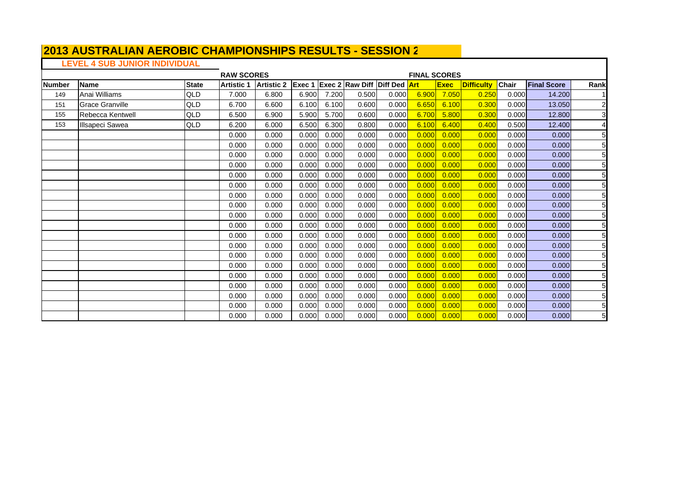# **LEVEL 4 SUB JUNIOR INDIVIDUAL**

|               |                        |              | <b>RAW SCORES</b> |                   |                |       |                                     |       | <b>FINAL SCORES</b> |             |                   |              |                    |                |
|---------------|------------------------|--------------|-------------------|-------------------|----------------|-------|-------------------------------------|-------|---------------------|-------------|-------------------|--------------|--------------------|----------------|
| <b>Number</b> | <b>Name</b>            | <b>State</b> | <b>Artistic 1</b> | <b>Artistic 2</b> | <b>IExec 1</b> |       | <b>Exec 2 Raw Diff Diff Ded Art</b> |       |                     | <b>Exec</b> | <b>Difficulty</b> | <b>Chair</b> | <b>Final Score</b> | Rank           |
| 149           | Anai Williams          | QLD          | 7.000             | 6.800             | 6.900          | 7.200 | 0.500                               | 0.000 | 6.900               | 7.050       | 0.250             | 0.000        | 14.200             |                |
| 151           | <b>Grace Granville</b> | QLD          | 6.700             | 6.600             | 6.100          | 6.100 | 0.600                               | 0.000 | 6.650               | 6.100       | 0.300             | 0.000        | 13.050             | $\overline{c}$ |
| 155           | Rebecca Kentwell       | QLD          | 6.500             | 6.900             | 5.900          | 5.700 | 0.600                               | 0.000 | 6.700               | 5.800       | 0.300             | 0.000        | 12,800             | 3              |
| 153           | <b>Illsapeci Sawea</b> | QLD          | 6.200             | 6.000             | 6.500          | 6.300 | 0.800                               | 0.000 | 6.100               | 6.400       | 0.400             | 0.500        | 12.400             | $\overline{4}$ |
|               |                        |              | 0.000             | 0.000             | 0.000          | 0.000 | 0.000                               | 0.000 | 0.000               | 0.000       | 0.000             | 0.000        | 0.000              | 5              |
|               |                        |              | 0.000             | 0.000             | 0.000          | 0.000 | 0.000                               | 0.000 | 0.000               | 0.000       | 0.000             | 0.000        | 0.000              | 5              |
|               |                        |              | 0.000             | 0.000             | 0.000          | 0.000 | 0.000                               | 0.000 | 0.000               | 0.000       | 0.000             | 0.000        | 0.000              | 5              |
|               |                        |              | 0.000             | 0.000             | 0.000          | 0.000 | 0.000                               | 0.000 | 0.000               | 0.000       | 0.000             | 0.000        | 0.000              | 5              |
|               |                        |              | 0.000             | 0.000             | 0.000          | 0.000 | 0.000                               | 0.000 | 0.000               | 0.000       | 0.000             | 0.000        | 0.000              | 5              |
|               |                        |              | 0.000             | 0.000             | 0.000          | 0.000 | 0.000                               | 0.000 | 0.000               | 0.000       | 0.000             | 0.000        | 0.000              | 5              |
|               |                        |              | 0.000             | 0.000             | 0.000          | 0.000 | 0.000                               | 0.000 | 0.000               | 0.000       | 0.000             | 0.000        | 0.000              | 5              |
|               |                        |              | 0.000             | 0.000             | 0.000          | 0.000 | 0.000                               | 0.000 | 0.000               | 0.000       | 0.00C             | 0.000        | 0.000              | 5              |
|               |                        |              | 0.000             | 0.000             | 0.000          | 0.000 | 0.000                               | 0.000 | 0.000               | 0.000       | 0.000             | 0.000        | 0.000              | 5              |
|               |                        |              | 0.000             | 0.000             | 0.000          | 0.000 | 0.000                               | 0.000 | 0.000               | 0.000       | 0.000             | 0.000        | 0.000              | 5              |
|               |                        |              | 0.000             | 0.000             | 0.000          | 0.000 | 0.000                               | 0.000 | 0.000               | 0.000       | 0.000             | 0.000        | 0.000              | 5              |
|               |                        |              | 0.000             | 0.000             | 0.000          | 0.000 | 0.000                               | 0.000 | 0.000               | 0.000       | 0.000             | 0.000        | 0.000              | 5              |
|               |                        |              | 0.000             | 0.000             | 0.000          | 0.000 | 0.000                               | 0.000 | 0.000               | 0.000       | 0.000             | 0.000        | 0.000              | 5              |
|               |                        |              | 0.000             | 0.000             | 0.000          | 0.000 | 0.000                               | 0.000 | 0.000               | 0.000       | 0.000             | 0.000        | 0.000              | 5              |
|               |                        |              | 0.000             | 0.000             | 0.000          | 0.000 | 0.000                               | 0.000 | 0.000               | 0.000       | 0.000             | 0.000        | 0.000              | 5              |
|               |                        |              | 0.000             | 0.000             | 0.000          | 0.000 | 0.000                               | 0.000 | 0.000               | 0.000       | 0.00C             | 0.000        | 0.000              | 5              |
|               |                        |              | 0.000             | 0.000             | 0.000          | 0.000 | 0.000                               | 0.000 | 0.000               | 0.000       | 0.000             | 0.000        | 0.000              | 5              |
|               |                        |              | 0.000             | 0.000             | 0.000          | 0.000 | 0.000                               | 0.000 | 0.000               | 0.000       | 0.000             | 0.000        | 0.000              | 5              |
|               |                        |              | 0.000             | 0.000             | 0.000          | 0.000 | 0.000                               | 0.000 | 0.000               | 0.000       | 0.000             | 0.000        | 0.000              | 5              |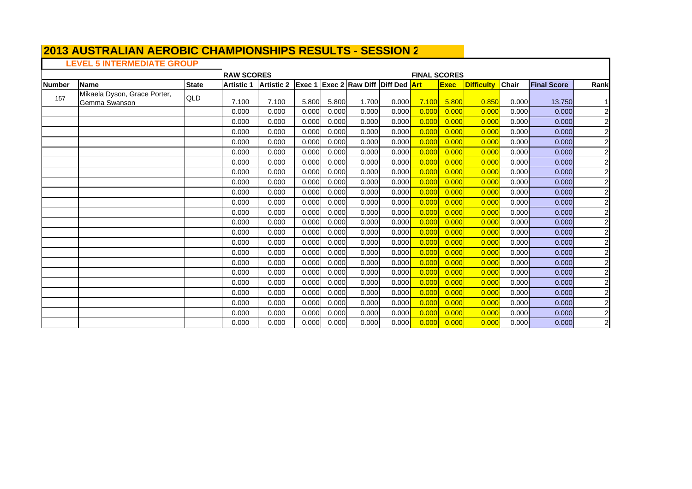### **LEVEL 5 INTERMEDIATE GROUP**

|               |                                               |              | <b>RAW SCORES</b> |                   |        |       |                                     |       | <b>FINAL SCORES</b> |             |                   |       |                    |                         |
|---------------|-----------------------------------------------|--------------|-------------------|-------------------|--------|-------|-------------------------------------|-------|---------------------|-------------|-------------------|-------|--------------------|-------------------------|
| <b>Number</b> | <b>Name</b>                                   | <b>State</b> | <b>Artistic 1</b> | <b>Artistic 2</b> | Exec 1 |       | <b>Exec 2 Raw Diff Diff Ded Art</b> |       |                     | <b>Exec</b> | <b>Difficulty</b> | Chair | <b>Final Score</b> | Rank                    |
| 157           | Mikaela Dyson, Grace Porter,<br>Gemma Swanson | QLD          | 7.100             | 7.100             | 5.800  | 5.800 | 1.700                               | 0.000 | 7.100               | 5.800       | 0.850             | 0.000 | 13.750             | $\mathbf{1}$            |
|               |                                               |              | 0.000             | 0.000             | 0.000  | 0.000 | 0.000                               | 0.000 | 0.000               | 0.000       | 0.000             | 0.000 | 0.000              | $\overline{\mathbf{c}}$ |
|               |                                               |              | 0.000             | 0.000             | 0.000  | 0.000 | 0.000                               | 0.000 | 0.000               | 0.000       | 0.000             | 0.000 | 0.000              | $\overline{c}$          |
|               |                                               |              | 0.000             | 0.000             | 0.000  | 0.000 | 0.000                               | 0.000 | 0.000               | 0.000       | 0.000             | 0.000 | 0.000              | $\overline{\mathbf{c}}$ |
|               |                                               |              | 0.000             | 0.000             | 0.000  | 0.000 | 0.000                               | 0.000 | 0.000               | 0.000       | 0.000             | 0.000 | 0.000              | $\overline{c}$          |
|               |                                               |              | 0.000             | 0.000             | 0.000  | 0.000 | 0.000                               | 0.000 | 0.000               | 0.000       | 0.000             | 0.000 | 0.000              | $\overline{\mathbf{c}}$ |
|               |                                               |              | 0.000             | 0.000             | 0.000  | 0.000 | 0.000                               | 0.000 | 0.000               | 0.000       | 0.000             | 0.000 | 0.000              | $\overline{\mathbf{c}}$ |
|               |                                               |              | 0.000             | 0.000             | 0.000  | 0.000 | 0.000                               | 0.000 | 0.000               | 0.000       | 0.000             | 0.000 | 0.000              | $\overline{\mathbf{c}}$ |
|               |                                               |              | 0.000             | 0.000             | 0.000  | 0.000 | 0.000                               | 0.000 | 0.000               | 0.000       | 0.000             | 0.000 | 0.000              | $\overline{c}$          |
|               |                                               |              | 0.000             | 0.000             | 0.000  | 0.000 | 0.000                               | 0.000 | 0.000               | 0.000       | 0.000             | 0.000 | 0.000              | $\overline{2}$          |
|               |                                               |              | 0.000             | 0.000             | 0.000  | 0.000 | 0.000                               | 0.000 | 0.000               | 0.000       | 0.000             | 0.000 | 0.000              | $\overline{c}$          |
|               |                                               |              | 0.000             | 0.000             | 0.000  | 0.000 | 0.000                               | 0.000 | 0.000               | 0.000       | 0.000             | 0.000 | 0.000              | $\overline{c}$          |
|               |                                               |              | 0.000             | 0.000             | 0.000  | 0.000 | 0.000                               | 0.000 | 0.000               | 0.000       | 0.000             | 0.000 | 0.000              | $\overline{c}$          |
|               |                                               |              | 0.000             | 0.000             | 0.000  | 0.000 | 0.000                               | 0.000 | 0.000               | 0.000       | 0.000             | 0.000 | 0.000              | $\overline{c}$          |
|               |                                               |              | 0.000             | 0.000             | 0.000  | 0.000 | 0.000                               | 0.000 | 0.000               | 0.000       | 0.000             | 0.000 | 0.000              | $\overline{\mathbf{c}}$ |
|               |                                               |              | 0.000             | 0.000             | 0.000  | 0.000 | 0.000                               | 0.000 | 0.000               | 0.000       | 0.000             | 0.000 | 0.000              | $\overline{c}$          |
|               |                                               |              | 0.000             | 0.000             | 0.000  | 0.000 | 0.000                               | 0.000 | 0.000               | 0.000       | 0.000             | 0.000 | 0.000              | $\overline{c}$          |
|               |                                               |              | 0.000             | 0.000             | 0.000  | 0.000 | 0.000                               | 0.000 | 0.000               | 0.000       | 0.000             | 0.000 | 0.000              | $\overline{\mathbf{c}}$ |
|               |                                               |              | 0.000             | 0.000             | 0.000  | 0.000 | 0.000                               | 0.000 | 0.000               | 0.000       | 0.000             | 0.000 | 0.000              | $\overline{c}$          |
|               |                                               |              | 0.000             | 0.000             | 0.000  | 0.000 | 0.000                               | 0.000 | 0.000               | 0.000       | 0.000             | 0.000 | 0.000              | $\overline{\mathbf{c}}$ |
|               |                                               |              | 0.000             | 0.000             | 0.000  | 0.000 | 0.000                               | 0.000 | 0.000               | 0.000       | 0.000             | 0.000 | 0.000              | $\overline{c}$          |
|               |                                               |              | 0.000             | 0.000             | 0.000  | 0.000 | 0.000                               | 0.000 | 0.000               | 0.000       | 0.000             | 0.000 | 0.000              | $\overline{\mathbf{c}}$ |
|               |                                               |              | 0.000             | 0.000             | 0.000  | 0.000 | 0.000                               | 0.000 | 0.000               | 0.000       | 0.000             | 0.000 | 0.000              | $\overline{\mathbf{c}}$ |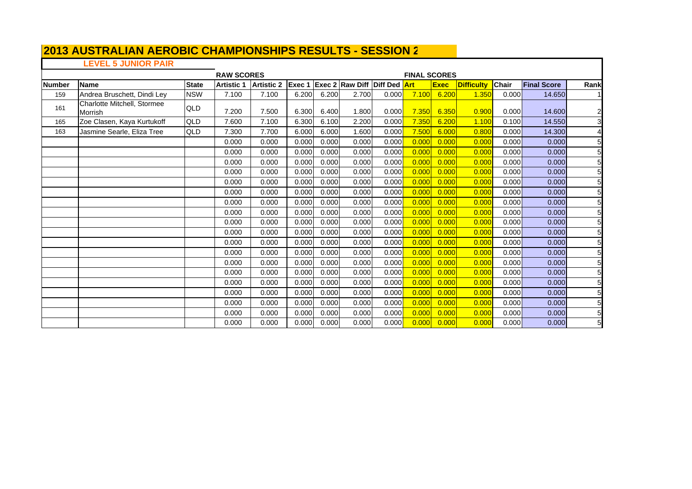#### **2013 AUSTRALIAN AEROBIC CHAMPIONSHIPS RESULTS - SESSION 2**  $\mathsf{L}$

# **LEVEL 5 JUNIOR PAIR**

|        |                                        |              | <b>RAW SCORES</b> |                   |        |       |                                     |       | <b>FINAL SCORES</b> |             |                   |              |                    |                 |
|--------|----------------------------------------|--------------|-------------------|-------------------|--------|-------|-------------------------------------|-------|---------------------|-------------|-------------------|--------------|--------------------|-----------------|
| Number | Name                                   | <b>State</b> | <b>Artistic 1</b> | <b>Artistic 2</b> | Exec 1 |       | <b>Exec 2 Raw Diff Diff Ded Art</b> |       |                     | <b>Exec</b> | <b>Difficulty</b> | <b>Chair</b> | <b>Final Score</b> | Rank            |
| 159    | Andrea Bruschett, Dindi Ley            | <b>NSW</b>   | 7.100             | 7.100             | 6.200  | 6.200 | 2.700                               | 0.000 | 7.100               | 6.200       | 1.350             | 0.000        | 14.650             |                 |
| 161    | Charlotte Mitchell, Stormee<br>Morrish | QLD          | 7.200             | 7.500             | 6.300  | 6.400 | 1.800                               | 0.000 | 7.350               | 6.350       | 0.900             | 0.000        | 14.600             | $\overline{c}$  |
| 165    | Zoe Clasen, Kaya Kurtukoff             | QLD          | 7.600             | 7.100             | 6.300  | 6.100 | 2.200                               | 0.000 | 7.350               | 6.200       | 1.100             | 0.100        | 14.550             | $\mathbf{3}$    |
| 163    | Jasmine Searle, Eliza Tree             | QLD          | 7.300             | 7.700             | 6.000  | 6.000 | 1.600                               | 0.000 | 7.500               | 6.000       | 0.800             | 0.000        | 14.300             | 4               |
|        |                                        |              | 0.000             | 0.000             | 0.000  | 0.000 | 0.000                               | 0.000 | 0.000               | 0.000       | 0.000             | 0.000        | 0.000              | $5\overline{)}$ |
|        |                                        |              | 0.000             | 0.000             | 0.000  | 0.000 | 0.000                               | 0.000 | 0.000               | 0.000       | 0.000             | 0.000        | 0.000              | 5               |
|        |                                        |              | 0.000             | 0.000             | 0.000  | 0.000 | 0.000                               | 0.000 | 0.000               | 0.000       | 0.000             | 0.000        | 0.000              | $\overline{5}$  |
|        |                                        |              | 0.000             | 0.000             | 0.000  | 0.000 | 0.000                               | 0.000 | 0.000               | 0.000       | 0.000             | 0.000        | 0.000              | 5               |
|        |                                        |              | 0.000             | 0.000             | 0.000  | 0.000 | 0.000                               | 0.000 | 0.000               | 0.000       | 0.000             | 0.000        | 0.000              | 5               |
|        |                                        |              | 0.000             | 0.000             | 0.000  | 0.000 | 0.000                               | 0.000 | 0.000               | 0.000       | 0.000             | 0.000        | 0.000              | 5               |
|        |                                        |              | 0.000             | 0.000             | 0.000  | 0.000 | 0.000                               | 0.000 | 0.000               | 0.000       | 0.000             | 0.000        | 0.000              | 5               |
|        |                                        |              | 0.000             | 0.000             | 0.000  | 0.000 | 0.000                               | 0.000 | 0.000               | 0.000       | 0.000             | 0.000        | 0.000              | 5               |
|        |                                        |              | 0.000             | 0.000             | 0.000  | 0.000 | 0.000                               | 0.000 | 0.000               | 0.000       | 0.000             | 0.000        | 0.000              | 5               |
|        |                                        |              | 0.000             | 0.000             | 0.000  | 0.000 | 0.000                               | 0.000 | 0.000               | 0.000       | 0.000             | 0.000        | 0.000              | $\overline{5}$  |
|        |                                        |              | 0.000             | 0.000             | 0.000  | 0.000 | 0.000                               | 0.000 | 0.000               | 0.000       | 0.000             | 0.000        | 0.000              | 5               |
|        |                                        |              | 0.000             | 0.000             | 0.000  | 0.000 | 0.000                               | 0.000 | 0.000               | 0.000       | 0.000             | 0.000        | 0.000              | 5               |
|        |                                        |              | 0.000             | 0.000             | 0.000  | 0.000 | 0.000                               | 0.000 | 0.000               | 0.000       | 0.000             | 0.000        | 0.000              | 5 <sub>l</sub>  |
|        |                                        |              | 0.000             | 0.000             | 0.000  | 0.000 | 0.000                               | 0.000 | 0.000               | 0.000       | 0.000             | 0.000        | 0.000              | 5               |
|        |                                        |              | 0.000             | 0.000             | 0.000  | 0.000 | 0.000                               | 0.000 | 0.000               | 0.000       | 0.000             | 0.000        | 0.000              | 5               |
|        |                                        |              | 0.000             | 0.000             | 0.000  | 0.000 | 0.000                               | 0.000 | 0.000               | 0.000       | 0.000             | 0.000        | 0.000              | 5               |
|        |                                        |              | 0.000             | 0.000             | 0.000  | 0.000 | 0.000                               | 0.000 | 0.000               | 0.000       | 0.000             | 0.000        | 0.000              | 5 <sub>l</sub>  |
|        |                                        |              | 0.000             | 0.000             | 0.000  | 0.000 | 0.000                               | 0.000 | 0.000               | 0.000       | 0.000             | 0.000        | 0.000              | 5 <sub>l</sub>  |
|        |                                        |              | 0.000             | 0.000             | 0.000  | 0.000 | 0.000                               | 0.000 | 0.000               | 0.000       | 0.000             | 0.000        | 0.000              | $\overline{5}$  |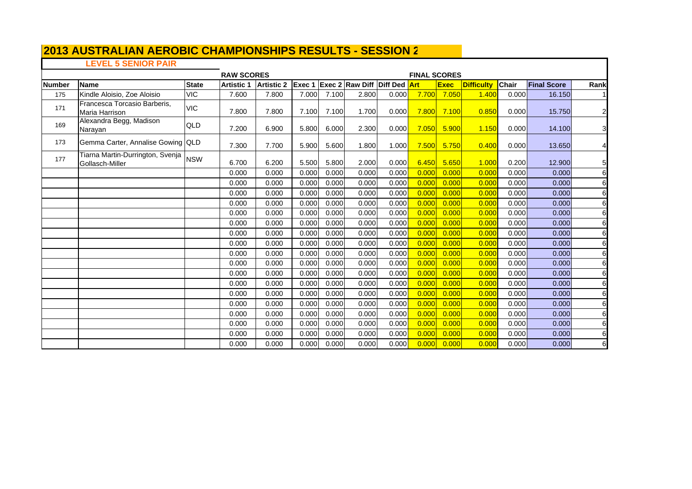## **LEVEL 5 SENIOR PAIR**

T

|        | -----------------                                         |              | <b>RAW SCORES</b> |                   |                |       |                                     |       | <b>FINAL SCORES</b> |             |                   |              |                    |                |
|--------|-----------------------------------------------------------|--------------|-------------------|-------------------|----------------|-------|-------------------------------------|-------|---------------------|-------------|-------------------|--------------|--------------------|----------------|
| Number | <b>Name</b>                                               | <b>State</b> | <b>Artistic 1</b> | <b>Artistic 2</b> | <b>IExec 1</b> |       | <b>Exec 2 Raw Diff Diff Ded Art</b> |       |                     | <b>Exec</b> | <b>Difficulty</b> | <b>Chair</b> | <b>Final Score</b> | Rank           |
| 175    | Kindle Aloisio, Zoe Aloisio                               | <b>VIC</b>   | 7.600             | 7.800             | 7.000          | 7.100 | 2.800                               | 0.000 | 7.700               | 7.050       | 1.400             | 0.000        | 16.150             |                |
| 171    | Francesca Torcasio Barberis.<br>Maria Harrison            | <b>VIC</b>   | 7.800             | 7.800             | 7.100          | 7.100 | 1.700                               | 0.000 | 7.800               | 7.100       | 0.850             | 0.000        | 15.750             | $\overline{a}$ |
| 169    | Alexandra Begg, Madison<br>Narayan                        | QLD          | 7.200             | 6.900             | 5.800          | 6.000 | 2.300                               | 0.000 | 7.050               | 5.900       | 1.150             | 0.000        | 14.100             | 3              |
| 173    | Gemma Carter, Annalise Gowing QLD                         |              | 7.300             | 7.700             | 5.900          | 5.600 | 1.800                               | 1.000 | 7.500               | 5.750       | 0.400             | 0.000        | 13.650             | 4              |
| 177    | Tiarna Martin-Durrington, Svenja   NSW<br>Gollasch-Miller |              | 6.700             | 6.200             | 5.500          | 5.800 | 2.000                               | 0.000 | 6.450               | 5.650       | 1.000             | 0.200        | 12.900             | 5 <sub>l</sub> |
|        |                                                           |              | 0.000             | 0.000             | 0.000          | 0.000 | 0.000                               | 0.000 | 0.000               | 0.000       | 0.000             | 0.000        | 0.000              | 6              |
|        |                                                           |              | 0.000             | 0.000             | 0.000          | 0.000 | 0.000                               | 0.000 | 0.000               | 0.000       | 0.000             | 0.000        | 0.000              | 6              |
|        |                                                           |              | 0.000             | 0.000             | 0.000          | 0.000 | 0.000                               | 0.000 | 0.000               | 0.000       | 0.000             | 0.000        | 0.000              | 6              |
|        |                                                           |              | 0.000             | 0.000             | 0.000          | 0.000 | 0.000                               | 0.000 | 0.000               | 0.000       | 0.000             | 0.000        | 0.000              | 6              |
|        |                                                           |              | 0.000             | 0.000             | 0.000          | 0.000 | 0.000                               | 0.000 | 0.000               | 0.000       | 0.000             | 0.000        | 0.000              | 6              |
|        |                                                           |              | 0.000             | 0.000             | 0.000          | 0.000 | 0.000                               | 0.000 | 0.000               | 0.000       | 0.000             | 0.000        | 0.000              | 6              |
|        |                                                           |              | 0.000             | 0.000             | 0.000          | 0.000 | 0.000                               | 0.000 | 0.000               | 0.000       | 0.00C             | 0.000        | 0.000              | 6              |
|        |                                                           |              | 0.000             | 0.000             | 0.000          | 0.000 | 0.000                               | 0.000 | 0.000               | 0.000       | 0.000             | 0.000        | 0.000              | 6              |
|        |                                                           |              | 0.000             | 0.000             | 0.000          | 0.000 | 0.000                               | 0.000 | 0.000               | 0.000       | 0.000             | 0.000        | 0.000              | 6              |
|        |                                                           |              | 0.000             | 0.000             | 0.000          | 0.000 | 0.000                               | 0.000 | 0.000               | 0.000       | 0.000             | 0.000        | 0.000              | 6              |
|        |                                                           |              | 0.000             | 0.000             | 0.000          | 0.000 | 0.000                               | 0.000 | 0.000               | 0.000       | 0.000             | 0.000        | 0.000              | 6              |
|        |                                                           |              | 0.000             | 0.000             | 0.000          | 0.000 | 0.000                               | 0.000 | 0.000               | 0.000       | 0.000             | 0.000        | 0.000              | 6              |
|        |                                                           |              | 0.000             | 0.000             | 0.000          | 0.000 | 0.000                               | 0.000 | 0.000               | 0.000       | 0.000             | 0.000        | 0.000              | 6              |
|        |                                                           |              | 0.000             | 0.000             | 0.000          | 0.000 | 0.000                               | 0.000 | 0.000               | 0.000       | 0.000             | 0.000        | 0.000              | 6              |
|        |                                                           |              | 0.000             | 0.000             | 0.000          | 0.000 | 0.000                               | 0.000 | 0.000               | 0.000       | 0.000             | 0.000        | 0.000              | 6              |
|        |                                                           |              | 0.000             | 0.000             | 0.000          | 0.000 | 0.000                               | 0.000 | 0.000               | 0.000       | 0.000             | 0.000        | 0.000              | 6              |
|        |                                                           |              | 0.000             | 0.000             | 0.000          | 0.000 | 0.000                               | 0.000 | 0.000               | 0.000       | 0.000             | 0.000        | 0.000              | 6              |
|        |                                                           |              | 0.000             | 0.000             | 0.000          | 0.000 | 0.000                               | 0.000 | 0.000               | 0.000       | 0.000             | 0.000        | 0.000              | 6              |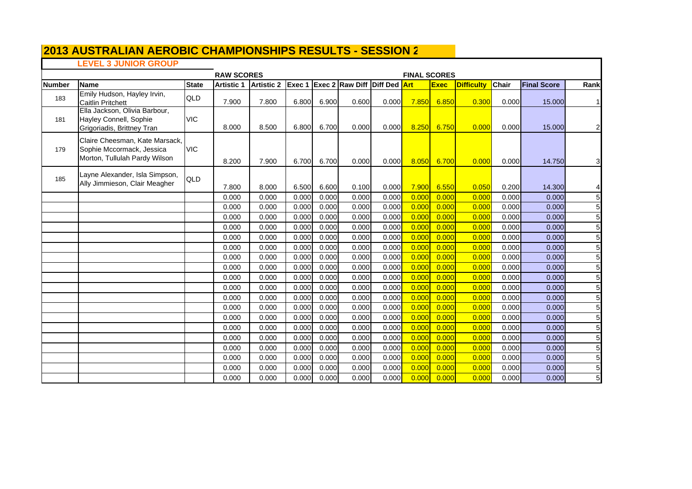### **LEVEL 3 JUNIOR GROUP**

|               | -- • -- • • ••••••••••••••••                                                                 |              | <b>RAW SCORES</b> |                   |                |                |                                 |                | <b>FINAL SCORES</b> |                |                   |                |                    |                                   |
|---------------|----------------------------------------------------------------------------------------------|--------------|-------------------|-------------------|----------------|----------------|---------------------------------|----------------|---------------------|----------------|-------------------|----------------|--------------------|-----------------------------------|
| <b>Number</b> | <b>Name</b>                                                                                  | <b>State</b> | <b>Artistic 1</b> | <b>Artistic 2</b> |                |                | Exec 1 Exec 2 Raw Diff Diff Ded |                | <b>Art</b>          | <b>Exec</b>    | <b>Difficulty</b> | Chair          | <b>Final Score</b> | Rank                              |
| 183           | Emily Hudson, Hayley Irvin,<br><b>Caitlin Pritchett</b>                                      | QLD          | 7.900             | 7.800             | 6.800          | 6.900          | 0.600                           | 0.000          | <b>7.850</b>        | 6.850          | 0.300             | 0.000          | 15,000             |                                   |
| 181           | Ella Jackson, Olivia Barbour,<br>Hayley Connell, Sophie<br>Grigoriadis, Brittney Tran        | <b>VIC</b>   | 8.000             | 8.500             | 6.800          | 6.700          | 0.000                           | 0.000          | 8.250               | 6.750          | 0.000             | 0.000          | 15,000             | $\overline{2}$                    |
| 179           | Claire Cheesman, Kate Marsack,<br>Sophie Mccormack, Jessica<br>Morton, Tullulah Pardy Wilson | <b>VIC</b>   | 8.200             | 7.900             | 6.700          | 6.700          | 0.000                           | 0.000          | 8.050               | 6.700          | 0.000             | 0.000          | 14.750             | $\overline{\mathbf{3}}$           |
| 185           | Layne Alexander, Isla Simpson,<br>Ally Jimmieson, Clair Meagher                              | QLD          | 7.800             | 8.000             | 6.500          | 6.600          | 0.100                           | 0.000          | 7.900               | 6.550          | 0.050             | 0.200          | 14.300             |                                   |
|               |                                                                                              |              | 0.000             | 0.000             | 0.000          | 0.000          | 0.000                           | 0.000          | 0.000               | 0.000          | 0.000             | 0.000          | 0.000              | 5 <sub>l</sub>                    |
|               |                                                                                              |              | 0.000             | 0.000             | 0.000          | 0.000          | 0.000                           | 0.000          | 0.000               | 0.000          | 0.000             | 0.000          | 0.000              | 5                                 |
|               |                                                                                              |              | 0.000             | 0.000             | 0.000          | 0.000          | 0.000                           | 0.000          | 0.000               | 0.000          | 0.000             | 0.000          | 0.000              | $5\overline{)}$                   |
|               |                                                                                              |              | 0.000             | 0.000             | 0.000          | 0.000          | 0.000                           | 0.000          | 0.000               | 0.000          | 0.000             | 0.000          | 0.000              | $5\overline{)}$                   |
|               |                                                                                              |              | 0.000             | 0.000             | 0.000          | 0.000          | 0.000                           | 0.000          | 0.000               | 0.000          | 0.000             | 0.000          | 0.000              | 5 <sub>l</sub>                    |
|               |                                                                                              |              | 0.000             | 0.000             | 0.000          | 0.000          | 0.000                           | 0.000          | 0.000               | 0.000          | 0.000             | 0.000          | 0.000              | 5                                 |
|               |                                                                                              |              | 0.000             | 0.000             | 0.000          | 0.000          | 0.000                           | 0.000          | 0.000               | 0.000          | 0.000             | 0.000          | 0.000              | 5 <sub>5</sub>                    |
|               |                                                                                              |              | 0.000             | 0.000             | 0.000          | 0.000          | 0.000                           | 0.000          | 0.000               | 0.000          | 0.000             | 0.000          | 0.000              | 5 <sub>l</sub>                    |
|               |                                                                                              |              | 0.000             | 0.000             | 0.000          | 0.000          | 0.000                           | 0.000          | 0.000               | 0.000          | 0.000             | 0.000          | 0.000              | 5                                 |
|               |                                                                                              |              | 0.000             | 0.000             | 0.000          | 0.000          | 0.000                           | 0.000          | 0.000               | 0.000          | 0.000             | 0.000          | 0.000              | $5\overline{)}$                   |
|               |                                                                                              |              | 0.000             | 0.000             | 0.000          | 0.000          | 0.000                           | 0.000          | 0.000               | 0.000          | 0.000             | 0.000          | 0.000              | 5                                 |
|               |                                                                                              |              | 0.000             | 0.000             | 0.000          | 0.000          | 0.000                           | 0.000          | 0.000               | 0.000          | 0.000             | 0.000          | 0.000              | $5\overline{)}$                   |
|               |                                                                                              |              | 0.000             | 0.000             | 0.000          | 0.000          | 0.000                           | 0.000          | 0.000               | 0.000          | 0.000             | 0.000          | 0.000              | 5                                 |
|               |                                                                                              |              | 0.000             | 0.000             | 0.000          | 0.000          | 0.000                           | 0.000          | 0.000               | 0.000          | 0.000             | 0.000          | 0.000              | 5 <sub>5</sub>                    |
|               |                                                                                              |              | 0.000             | 0.000             | 0.000          | 0.000          | 0.000                           | 0.000          | 0.000               | 0.000          | 0.000             | 0.000          | 0.000              | $5\overline{)}$                   |
|               |                                                                                              |              | 0.000<br>0.000    | 0.000<br>0.000    | 0.000<br>0.000 | 0.000<br>0.000 | 0.000<br>0.000                  | 0.000<br>0.000 | 0.000<br>0.000      | 0.000<br>0.000 | 0.000<br>0.000    | 0.000<br>0.000 | 0.000              | $5\overline{)}$<br>5 <sub>l</sub> |
|               |                                                                                              |              | 0.000             | 0.000             | 0.000          | 0.000          | 0.000                           | 0.000          | 0.000               | 0.000          | 0.000             | 0.000          | 0.000<br>0.000     | 5 <sub>l</sub>                    |
|               |                                                                                              |              | 0.000             | 0.000             | 0.000          | 0.000          | 0.000                           | 0.000          | 0.000               | 0.000          | 0.000             | 0.000          | 0.000              | $5\overline{a}$                   |
|               |                                                                                              |              |                   |                   |                |                |                                 |                |                     |                |                   |                |                    |                                   |